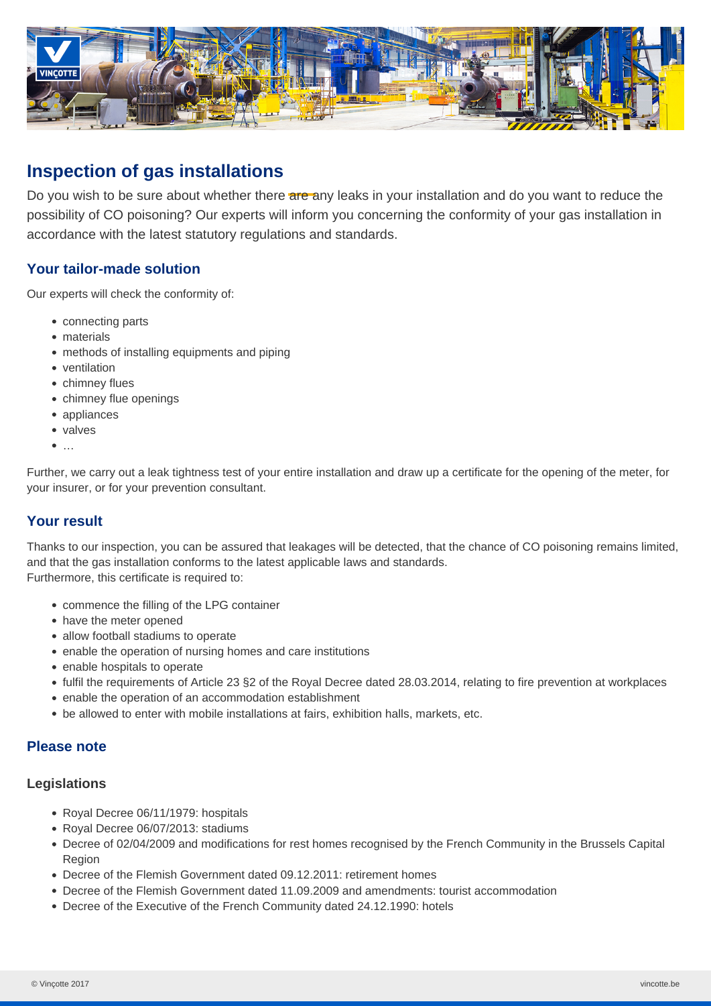

# **Inspection of gas installations**

Do you wish to be sure about whether there are any leaks in your installation and do you want to reduce the possibility of CO poisoning? Our experts will inform you concerning the conformity of your gas installation in accordance with the latest statutory regulations and standards.

# **Your tailor-made solution**

Our experts will check the conformity of:

- connecting parts
- materials
- methods of installing equipments and piping
- ventilation
- chimney flues
- chimney flue openings
- appliances
- valves
- $\bullet$

Further, we carry out a leak tightness test of your entire installation and draw up a certificate for the opening of the meter, for your insurer, or for your prevention consultant.

### **Your result**

Thanks to our inspection, you can be assured that leakages will be detected, that the chance of CO poisoning remains limited, and that the gas installation conforms to the latest applicable laws and standards. Furthermore, this certificate is required to:

- commence the filling of the LPG container
- have the meter opened
- allow football stadiums to operate
- enable the operation of nursing homes and care institutions
- enable hospitals to operate
- fulfil the requirements of Article 23 §2 of the Royal Decree dated 28.03.2014, relating to fire prevention at workplaces
- enable the operation of an accommodation establishment
- be allowed to enter with mobile installations at fairs, exhibition halls, markets, etc.

### **Please note**

#### **Legislations**

- Royal Decree 06/11/1979: hospitals
- Royal Decree 06/07/2013: stadiums
- Decree of 02/04/2009 and modifications for rest homes recognised by the French Community in the Brussels Capital Region
- Decree of the Flemish Government dated 09.12.2011: retirement homes
- Decree of the Flemish Government dated 11.09.2009 and amendments: tourist accommodation
- Decree of the Executive of the French Community dated 24.12.1990: hotels